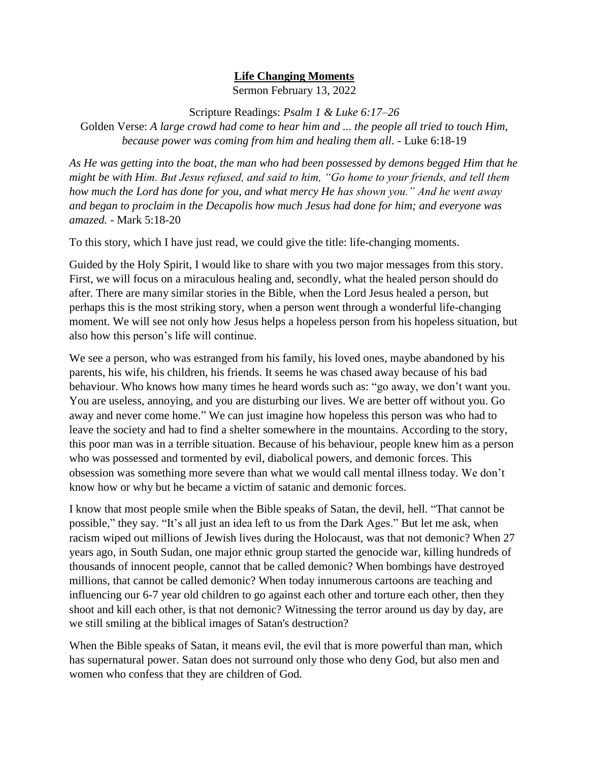## **Life Changing Moments**

Sermon February 13, 2022

Scripture Readings: *Psalm 1 & Luke 6:17–26*

Golden Verse: *A large crowd had come to hear him and ... the people all tried to touch Him, because power was coming from him and healing them all. -* Luke 6:18-19

*As He was getting into the boat, the man who had been possessed by demons begged Him that he might be with Him. But Jesus refused, and said to him, "Go home to your friends, and tell them how much the Lord has done for you, and what mercy He has shown you." And he went away and began to proclaim in the Decapolis how much Jesus had done for him; and everyone was amazed.* - Mark 5:18-20

To this story, which I have just read, we could give the title: life-changing moments.

Guided by the Holy Spirit, I would like to share with you two major messages from this story. First, we will focus on a miraculous healing and, secondly, what the healed person should do after. There are many similar stories in the Bible, when the Lord Jesus healed a person, but perhaps this is the most striking story, when a person went through a wonderful life-changing moment. We will see not only how Jesus helps a hopeless person from his hopeless situation, but also how this person's life will continue.

We see a person, who was estranged from his family, his loved ones, maybe abandoned by his parents, his wife, his children, his friends. It seems he was chased away because of his bad behaviour. Who knows how many times he heard words such as: "go away, we don't want you. You are useless, annoying, and you are disturbing our lives. We are better off without you. Go away and never come home." We can just imagine how hopeless this person was who had to leave the society and had to find a shelter somewhere in the mountains. According to the story, this poor man was in a terrible situation. Because of his behaviour, people knew him as a person who was possessed and tormented by evil, diabolical powers, and demonic forces. This obsession was something more severe than what we would call mental illness today. We don't know how or why but he became a victim of satanic and demonic forces.

I know that most people smile when the Bible speaks of Satan, the devil, hell. "That cannot be possible," they say. "It's all just an idea left to us from the Dark Ages." But let me ask, when racism wiped out millions of Jewish lives during the Holocaust, was that not demonic? When 27 years ago, in South Sudan, one major ethnic group started the genocide war, killing hundreds of thousands of innocent people, cannot that be called demonic? When bombings have destroyed millions, that cannot be called demonic? When today innumerous cartoons are teaching and influencing our 6-7 year old children to go against each other and torture each other, then they shoot and kill each other, is that not demonic? Witnessing the terror around us day by day, are we still smiling at the biblical images of Satan's destruction?

When the Bible speaks of Satan, it means evil, the evil that is more powerful than man, which has supernatural power. Satan does not surround only those who deny God, but also men and women who confess that they are children of God.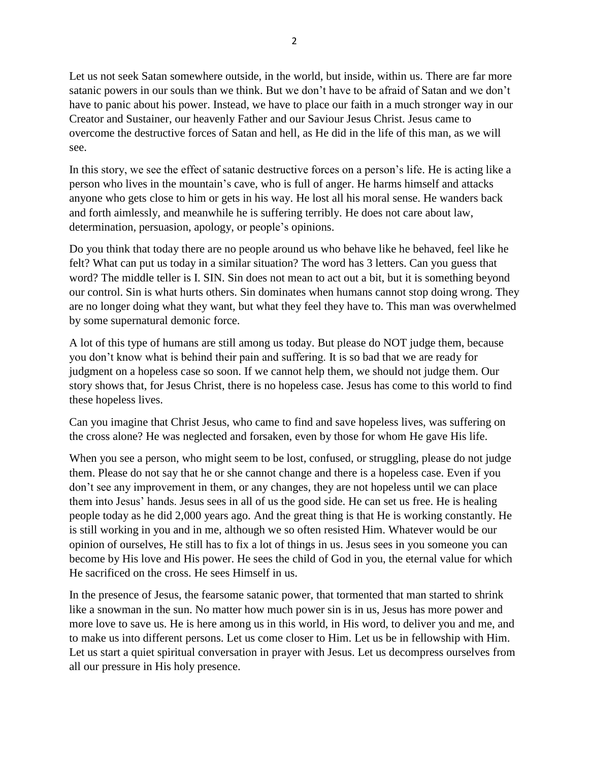Let us not seek Satan somewhere outside, in the world, but inside, within us. There are far more satanic powers in our souls than we think. But we don't have to be afraid of Satan and we don't have to panic about his power. Instead, we have to place our faith in a much stronger way in our Creator and Sustainer, our heavenly Father and our Saviour Jesus Christ. Jesus came to overcome the destructive forces of Satan and hell, as He did in the life of this man, as we will see.

In this story, we see the effect of satanic destructive forces on a person's life. He is acting like a person who lives in the mountain's cave, who is full of anger. He harms himself and attacks anyone who gets close to him or gets in his way. He lost all his moral sense. He wanders back and forth aimlessly, and meanwhile he is suffering terribly. He does not care about law, determination, persuasion, apology, or people's opinions.

Do you think that today there are no people around us who behave like he behaved, feel like he felt? What can put us today in a similar situation? The word has 3 letters. Can you guess that word? The middle teller is I. SIN. Sin does not mean to act out a bit, but it is something beyond our control. Sin is what hurts others. Sin dominates when humans cannot stop doing wrong. They are no longer doing what they want, but what they feel they have to. This man was overwhelmed by some supernatural demonic force.

A lot of this type of humans are still among us today. But please do NOT judge them, because you don't know what is behind their pain and suffering. It is so bad that we are ready for judgment on a hopeless case so soon. If we cannot help them, we should not judge them. Our story shows that, for Jesus Christ, there is no hopeless case. Jesus has come to this world to find these hopeless lives.

Can you imagine that Christ Jesus, who came to find and save hopeless lives, was suffering on the cross alone? He was neglected and forsaken, even by those for whom He gave His life.

When you see a person, who might seem to be lost, confused, or struggling, please do not judge them. Please do not say that he or she cannot change and there is a hopeless case. Even if you don't see any improvement in them, or any changes, they are not hopeless until we can place them into Jesus' hands. Jesus sees in all of us the good side. He can set us free. He is healing people today as he did 2,000 years ago. And the great thing is that He is working constantly. He is still working in you and in me, although we so often resisted Him. Whatever would be our opinion of ourselves, He still has to fix a lot of things in us. Jesus sees in you someone you can become by His love and His power. He sees the child of God in you, the eternal value for which He sacrificed on the cross. He sees Himself in us.

In the presence of Jesus, the fearsome satanic power, that tormented that man started to shrink like a snowman in the sun. No matter how much power sin is in us, Jesus has more power and more love to save us. He is here among us in this world, in His word, to deliver you and me, and to make us into different persons. Let us come closer to Him. Let us be in fellowship with Him. Let us start a quiet spiritual conversation in prayer with Jesus. Let us decompress ourselves from all our pressure in His holy presence.